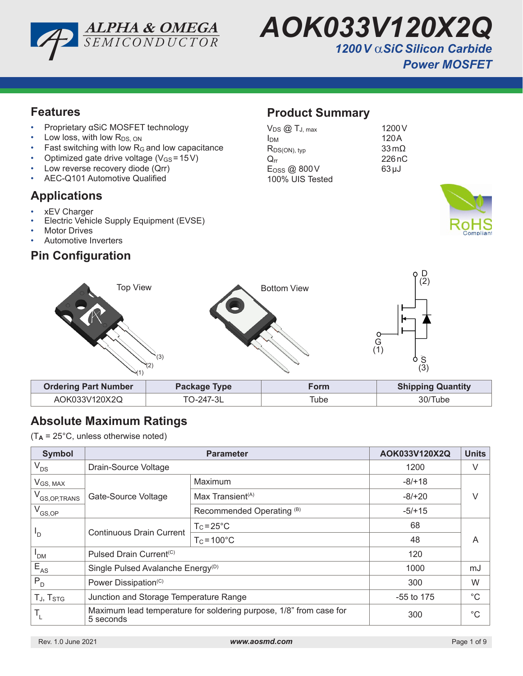



## **Features**

- Proprietary αSiC MOSFET technology
- Low loss, with low  $R_{DS, ON}$
- Fast switching with low  $R_G$  and low capacitance
- Optimized gate drive voltage ( $V_{GS}$  = 15V)
- Low reverse recovery diode (Qrr)
- AEC-Q101 Automotive Qualified

### **Applications**

- xEV Charger
- Electric Vehicle Supply Equipment (EVSE)
- **Motor Drives**
- Automotive Inverters

# **Pin Configuration**

# **Product Summary**

| $V_{DS}$ $@$ $T_{J, max}$  | 1200 V                  |
|----------------------------|-------------------------|
| Ірм                        | 120A                    |
| $R_{DS(ON), typ}$          | $33 \,\mathrm{m}\Omega$ |
| $\mathrm{O}_{\mathrm{rr}}$ | 226nC                   |
| E <sub>OSS</sub> @ 800V    | $63 \mu J$              |
| 100% UIS Tested            |                         |





# **Absolute Maximum Ratings**

(T**A** = 25°C, unless otherwise noted)

| <b>Symbol</b>            | <b>Parameter</b>                                                                |                              | AOK033V120X2Q | <b>Units</b> |  |
|--------------------------|---------------------------------------------------------------------------------|------------------------------|---------------|--------------|--|
| $V_{DS}$                 | Drain-Source Voltage                                                            |                              | 1200          | V            |  |
| $V_{GS, MAX}$            |                                                                                 | Maximum                      | $-8/+18$      |              |  |
| V <sub>GS,OP,TRANS</sub> | Gate-Source Voltage                                                             | Max Transient <sup>(A)</sup> | $-8/+20$      | V            |  |
| $\rm V_{GS,OP}$          |                                                                                 | Recommended Operating (B)    | $-5/+15$      |              |  |
| "D                       | <b>Continuous Drain Current</b>                                                 | $T_c = 25^{\circ}C$          | 68            |              |  |
|                          |                                                                                 | $T_c = 100^{\circ}C$         | 48            | A            |  |
| 'DM                      | Pulsed Drain Current <sup>(C)</sup>                                             |                              | 120           |              |  |
| $E_{AS}$                 | Single Pulsed Avalanche Energy <sup>(D)</sup>                                   |                              | 1000          | mJ           |  |
| $P_{D}$                  | Power Dissipation <sup>(C)</sup>                                                |                              | 300           | W            |  |
| TJ, T <sub>STG</sub>     | Junction and Storage Temperature Range                                          |                              | $-55$ to 175  | $^{\circ}C$  |  |
|                          | Maximum lead temperature for soldering purpose, 1/8" from case for<br>5 seconds |                              | 300           | $^{\circ}C$  |  |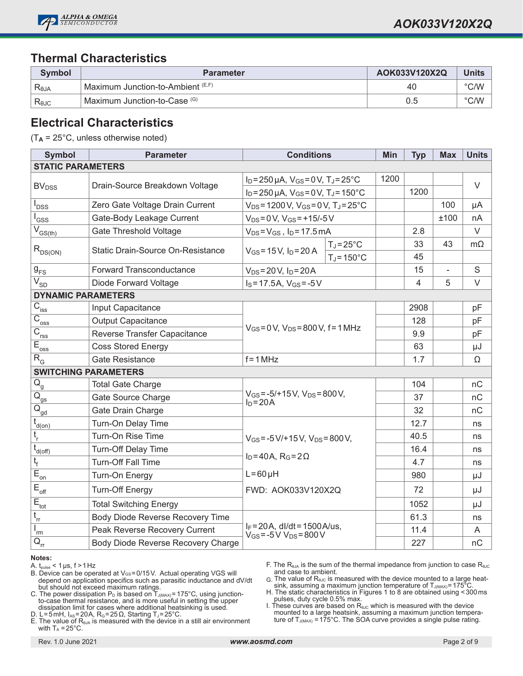

# **Thermal Characteristics**

| Symbol         | <b>Parameter</b>                              | AOK033V120X2Q | <b>Units</b>  |
|----------------|-----------------------------------------------|---------------|---------------|
| Reja           | 「Maximum Junction-to-Ambient <sup>(E,F)</sup> | 40            | $\degree$ C/W |
| $R_{\theta$ JC | Maximum Junction-to-Case (G)                  | 0.5           | $\degree$ C/W |

### **Electrical Characteristics**

(T**A** = 25°C, unless otherwise noted)

| <b>Symbol</b>                               | <b>Parameter</b>                   | <b>Conditions</b>                                                             |                      | Min  | <b>Typ</b>     | <b>Max</b> | <b>Units</b> |
|---------------------------------------------|------------------------------------|-------------------------------------------------------------------------------|----------------------|------|----------------|------------|--------------|
| <b>STATIC PARAMETERS</b>                    |                                    |                                                                               |                      |      |                |            |              |
|                                             |                                    | $I_D = 250 \,\mu A$ , $V_{GS} = 0 \,\text{V}$ , $T_J = 25 \,^{\circ}\text{C}$ |                      | 1200 |                |            | $\vee$       |
| <b>BV</b> <sub>DSS</sub>                    | Drain-Source Breakdown Voltage     | $I_D = 250 \mu A$ , $V_{GS} = 0 V$ , $T_J = 150^{\circ}C$                     |                      |      | 1200           |            |              |
| l<br>DSS                                    | Zero Gate Voltage Drain Current    | $V_{DS}$ = 1200 V, $V_{GS}$ = 0 V, T <sub>J</sub> = 25 °C                     |                      |      |                | 100        | μA           |
| l <sub>GSS</sub>                            | Gate-Body Leakage Current          | $V_{DS} = 0 V$ , $V_{GS} = +15/-5 V$                                          |                      |      |                | ±100       | nA           |
| $\overline{V}_{GS(th)}$                     | Gate Threshold Voltage             | $V_{DS} = V_{GS}$ , $I_D = 17.5$ mA                                           |                      |      | 2.8            |            | V            |
|                                             | Static Drain-Source On-Resistance  |                                                                               | $T_J = 25^{\circ}C$  |      | 33             | 43         | $m\Omega$    |
| $R_{DS(ON)}$                                |                                    | $V_{GS} = 15 V, I_D = 20 A$                                                   | $T_J = 150^{\circ}C$ |      | 45             |            |              |
| $g_{\rm FS}$                                | Forward Transconductance           | $V_{DS} = 20 V$ , $I_D = 20 A$                                                |                      |      | 15             | ä,         | S            |
| $\sqrt{\overline{V}}_{\underline{SD}}$      | Diode Forward Voltage              | $I_S = 17.5A$ , $V_{GS} = -5V$                                                |                      |      | $\overline{4}$ | 5          | $\vee$       |
| <b>DYNAMIC PARAMETERS</b>                   |                                    |                                                                               |                      |      |                |            |              |
| $\overline{C}_{\underline{\text{iss}}}$     | Input Capacitance                  |                                                                               |                      |      | 2908           |            | pF           |
| $\overline{C}_{\underline{oss}}$            | <b>Output Capacitance</b>          | $V_{GS} = 0 V$ , $V_{DS} = 800 V$ , f = 1 MHz                                 |                      |      | 128            |            | pF           |
| $\overline{C}_{\underline{rss}}$            | Reverse Transfer Capacitance       |                                                                               |                      |      | 9.9            |            | pF           |
| $E_{\underline{oss}}$                       | <b>Coss Stored Energy</b>          |                                                                               |                      |      | 63             |            | μJ           |
| $R_{G}$                                     | <b>Gate Resistance</b>             | $f = 1 MHz$                                                                   |                      |      | 1.7            |            | Ω            |
| <b>SWITCHING PARAMETERS</b>                 |                                    |                                                                               |                      |      |                |            |              |
| $\overline{Q}_{\underline{g}}$              | <b>Total Gate Charge</b>           |                                                                               |                      |      | 104            |            | nC           |
| $\overline{Q}_{gs}$                         | Gate Source Charge                 | $V_{GS} = -5/+15 V$ , $V_{DS} = 800 V$ ,<br>$I_D = 20A$                       |                      |      | 37             |            | nC           |
| $\overline{Q}_{\underline{gd}}$             | Gate Drain Charge                  |                                                                               |                      |      | 32             |            | nC           |
| $t_{d(0n)}$                                 | Turn-On Delay Time                 |                                                                               |                      |      | 12.7           |            | ns           |
| $t_{\rm r}$                                 | Turn-On Rise Time                  | $V_{GS} = -5 V/ + 15 V$ , $V_{DS} = 800 V$ ,                                  |                      |      | 40.5           |            | ns           |
| $\bar{t}_{\underline{d(\text{off})}}$       | <b>Turn-Off Delay Time</b>         | $I_D = 40A$ , $R_G = 2\Omega$                                                 |                      |      | 16.4           |            | ns           |
| $t_{\rm f}$                                 | <b>Turn-Off Fall Time</b>          |                                                                               |                      |      | 4.7            |            | ns           |
| $\overline{E}_{\underline{on}}$             | Turn-On Energy                     | $L = 60 \mu H$                                                                |                      |      | 980            |            | μJ           |
| $\mathsf{E}_{\mathsf{off}}$                 | <b>Turn-Off Energy</b>             | FWD: AOK033V120X2Q                                                            |                      |      | 72             |            | μJ           |
| $\overline{E}_{\underline{tot}}$            | <b>Total Switching Energy</b>      |                                                                               |                      |      | 1052           |            | μJ           |
| $t_{rr}$                                    | Body Diode Reverse Recovery Time   | $I_F = 20A$ , dl/dt = 1500A/us,<br>$V_{GS} = -5V V_{DS} = 800V$               |                      |      | 61.3           |            | ns           |
| 'rm                                         | Peak Reverse Recovery Current      |                                                                               |                      |      | 11.4           |            | Α            |
| $\overline{Q}_{\underline{r}\underline{r}}$ | Body Diode Reverse Recovery Charge |                                                                               |                      |      | 227            |            | nC           |

#### **Notes:**

A.  $t_{pulse}$  < 1 µs,  $f > 1$  Hz

B. Device can be operated at VGS=0/15V. Actual operating VGS will depend on application specifics such as parasitic inductance and dV/dt but should not exceed maximum ratings.

C. The power dissipation P $_{\text{\tiny D}}$  is based on T $_{\text{\tiny J(MAX)}}$ = 175°C, using junctionto-case thermal resistance, and is more useful in setting the upper dissipation limit for cases where additional heatsinking is used.

D. L=5mH, I<sub>AS</sub>=20A, R<sub>G</sub>=25 Ω, Starting T<sub>J</sub>=25°C.

E. The value of  $R<sub>θJA</sub>$  is measured with the device in a still air environment with  $T_A = 25^{\circ}$ C.

F. The R<sub>θJA</sub> is the sum of the thermal impedance from junction to case R<sub>θJC</sub> and case to ambient.

 $G$ . The value of R<sub>θJC</sub> is measured with the device mounted to a large heat-<br>sink, assuming a maximum junction temperature of Tآررامین = 175°C.

H. The static characteristics in Figures 1 to 8 are obtained using <300ms pulses, duty cycle 0.5% max.

I. These curves are based on R<sub>θJC</sub> which is measured with the device<br>mounted to a large heatsink, assuming a maximum junction temperature of  $T_{J(MAX)} = 175^{\circ}$ C. The SOA curve provides a single pulse rating.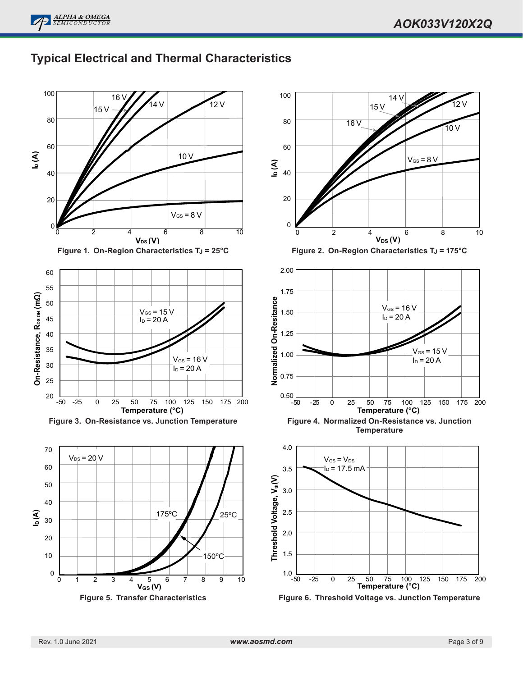12 ک



#### 100 100 16 14 V  $12$  V 15 V 15 V 80 80 16 V 10 V 60 60 **ID (A)** 10 V  $V_{GS} = 8 V$ **ID (A)** 40 40 20 20  $V_{GS} = 8 V$ 0 0 0 2 4 6 8 10 0 2 4 6 8 10 2 4 6 8  $V_{DS}(V)$ **VDS (V)** Figure 1. On-Region Characteristics T<sub>J</sub> = 25°C **Figure 2. On-Region Characteristics T<sub>J</sub> = 175°C** 2.00 60 55 1.75 On-Resistance, R<sub>pson</sub> (mΩ) **On-Resistance, R**<sub>DS ow</sub> (mΩ) **Normalized On-Resitance** 50  $V_{GS}$  = 16 V  $V_{GS}$  = 15 V 1.50  $I_D$  = 20 A 45  $I_D$  = 20 A 40 1.25 35  $V_{GS} = 15$ 1.00  $V_{GS}$  = 16 V  $I_D$  = 20 A 30  $I_D$  = 20 A 0.75 25  $0.50\bigcup_{-50}$ 20 -50 -25 0 25 50 75 100 125 150 175 200 -50 -25 0 25 50 75 100 125 150 175 200 **Temperature (°C) Temperature (°C) Figure 3. On-Resistance vs. Junction Temperature Figure 4. Normalized On-Resistance vs. Junction Temperature** 4.0 70  $V_{DS}$  = 20 V  $V_{GS} = V_{DS}$ 60  $I_D$  = 17.5 mA 3.5 Threshold Voltage, V<sub>th</sub>(V) **Threshold Voltage, Vth(V)** 50 3.0 40 2.5 **ID (A)** 175ºC 25ºC 30 2.0 20 1.5 150ºC 10  $1.0 \_50$ 0 -25 0 25 50 75 100 125 150 175 200<br> **Temperature (°C)** 0 1 2 3 4 5 6 7 8 9 10 **VGS (V)**

# **Typical Electrical and Thermal Characteristics**



**Figure 6. Threshold Voltage vs. Junction Temperature**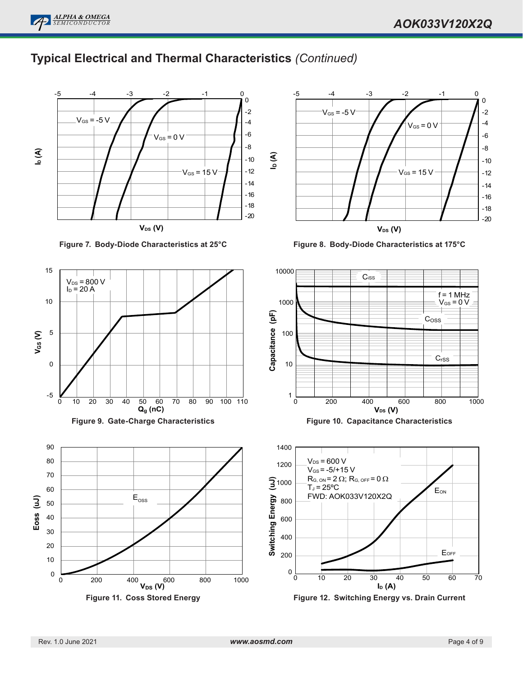

# **Typical Electrical and Thermal Characteristics** *(Continued)*



**Figure 7. Body-Diode Characteristics at 25°C**







**Figure 8. Body-Diode Characteristics at 175°C**



**Figure 10. Capacitance Characteristics**



**Figure 12. Switching Energy vs. Drain Current**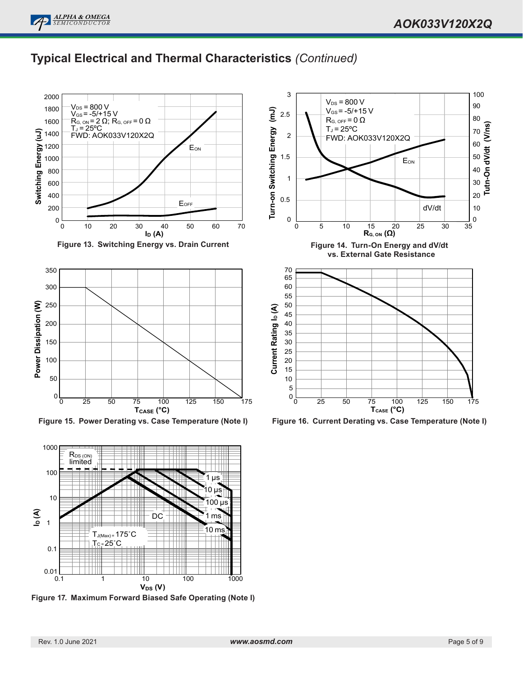100



# **Typical Electrical and Thermal Characteristics** *(Continued)*

3

 $V_{DS}$  = 800 V





**Figure 15. Power Derating vs. Case Temperature (Note I)**



**Figure 17. Maximum Forward Biased Safe Operating (Note I)**



**Figure 16. Current Derating vs. Case Temperature (Note I)**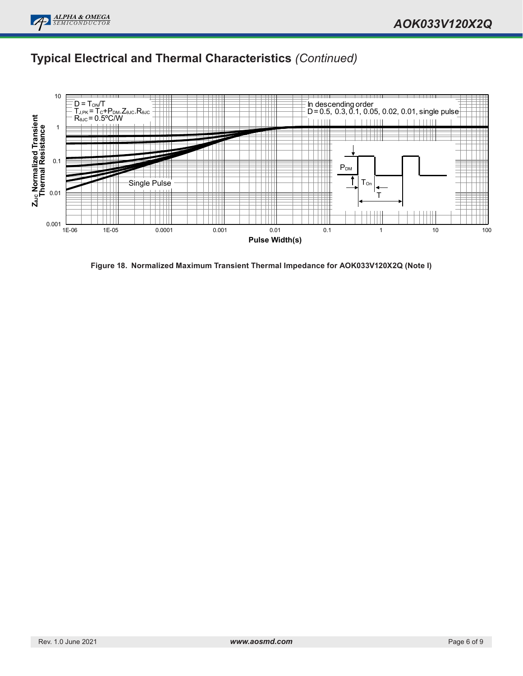

# **Typical Electrical and Thermal Characteristics** *(Continued)*



**Figure 18. Normalized Maximum Transient Thermal Impedance for AOK033V120X2Q (Note I)**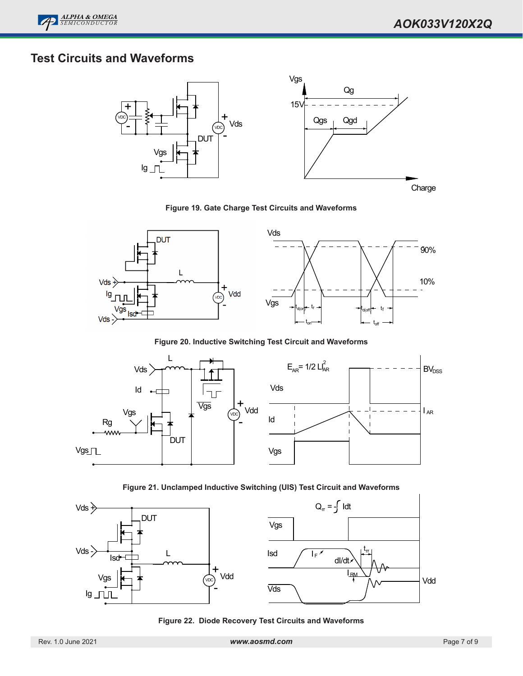

# **Test Circuits and Waveforms**



**Figure 19. Gate Charge Test Circuits and Waveforms**



**Figure 20. Inductive Switching Test Circuit and Waveforms**



**Figure 21. Unclamped Inductive Switching (UIS) Test Circuit and Waveforms**



**Figure 22. Diode Recovery Test Circuits and Waveforms**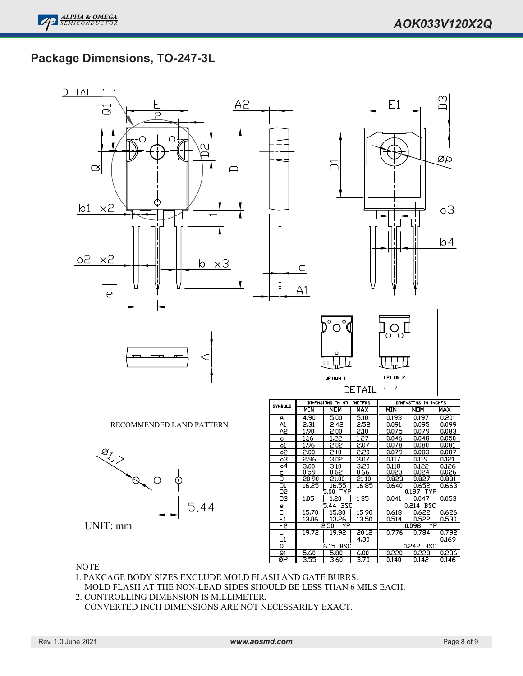# **Package Dimensions, TO-247-3L**



### **NOTE**

1. PAKCAGE BODY SIZES EXCLUDE MOLD FLASH AND GATE BURRS. MOLD FLASH AT THE NON-LEAD SIDES SHOULD BE LESS THAN 6 MILS EACH.

2. CONTROLLING DIMENSION IS MILLIMETER. CONVERTED INCH DIMENSIONS ARE NOT NECESSARILY EXACT.